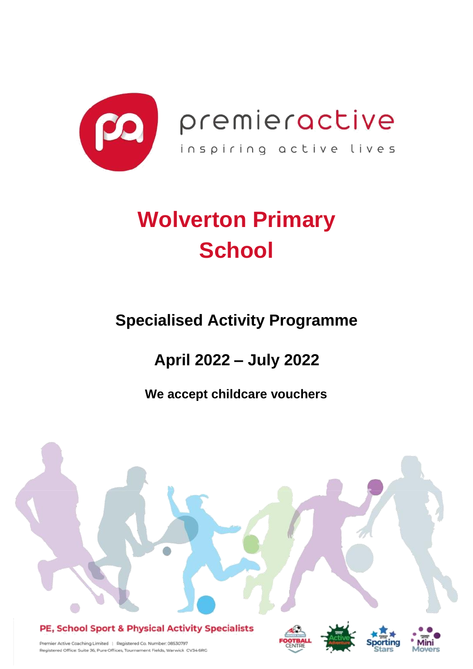

premieractive inspiring active lives

# **Wolverton Primary School**

## **Specialised Activity Programme**

## **April 2022 – July 2022**

**We accept childcare vouchers**

### PE, School Sport & Physical Activity Specialists







Premier Active Coaching Limited | Registered Co. Number: 08530797 Registered Office: Suite 36, Pure Offices, Tournament Fields, Warwick CV34 6RC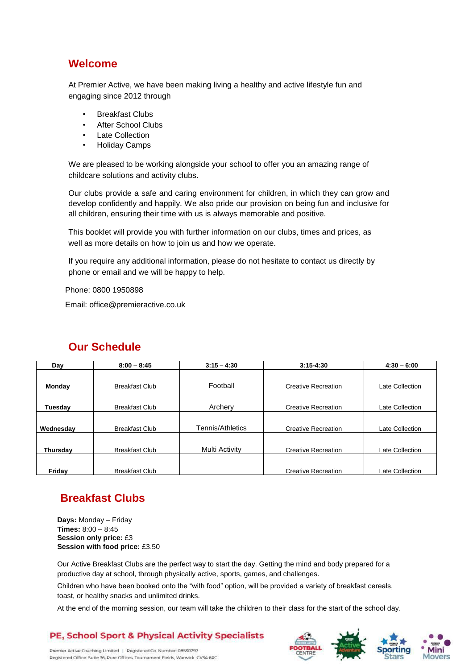### **Welcome**

At Premier Active, we have been making living a healthy and active lifestyle fun and engaging since 2012 through

- **Breakfast Clubs**
- **After School Clubs**
- **Late Collection**
- Holiday Camps

We are pleased to be working alongside your school to offer you an amazing range of childcare solutions and activity clubs.

Our clubs provide a safe and caring environment for children, in which they can grow and develop confidently and happily. We also pride our provision on being fun and inclusive for all children, ensuring their time with us is always memorable and positive.

This booklet will provide you with further information on our clubs, times and prices, as well as more details on how to join us and how we operate.

If you require any additional information, please do not hesitate to contact us directly by phone or email and we will be happy to help.

Phone: 0800 1950898

Email: office@premieractive.co.uk

| Day       | $8:00 - 8:45$         | $3:15 - 4:30$    | $3:15 - 4:30$              | $4:30 - 6:00$   |
|-----------|-----------------------|------------------|----------------------------|-----------------|
|           |                       |                  |                            |                 |
| Monday    | <b>Breakfast Club</b> | Football         | <b>Creative Recreation</b> | Late Collection |
|           |                       |                  |                            |                 |
| Tuesday   | <b>Breakfast Club</b> | Archery          | <b>Creative Recreation</b> | Late Collection |
|           |                       |                  |                            |                 |
| Wednesdav | <b>Breakfast Club</b> | Tennis/Athletics | <b>Creative Recreation</b> | Late Collection |
|           |                       |                  |                            |                 |
| Thursday  | <b>Breakfast Club</b> | Multi Activity   | <b>Creative Recreation</b> | Late Collection |
|           |                       |                  |                            |                 |
| Friday    | <b>Breakfast Club</b> |                  | <b>Creative Recreation</b> | Late Collection |

### **Our Schedule**

## **Breakfast Clubs**

**Days:** Monday – Friday **Times:** 8:00 – 8:45 **Session only price:** £3 **Session with food price:** £3.50

Our Active Breakfast Clubs are the perfect way to start the day. Getting the mind and body prepared for a productive day at school, through physically active, sports, games, and challenges.

Children who have been booked onto the "with food" option, will be provided a variety of breakfast cereals, toast, or healthy snacks and unlimited drinks.

At the end of the morning session, our team will take the children to their class for the start of the school day.

#### **PE, School Sport & Physical Activity Specialists**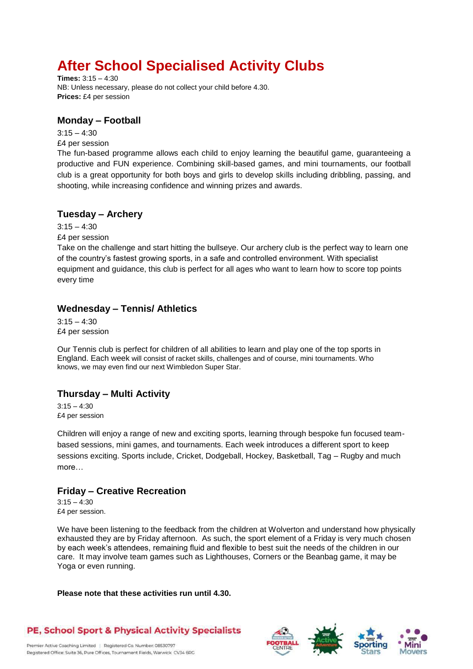## **After School Specialised Activity Clubs**

**Times:** 3:15 – 4:30 NB: Unless necessary, please do not collect your child before 4.30. **Prices:** £4 per session

#### **Monday – Football**

 $3:15 - 4:30$ £4 per session

The fun-based programme allows each child to enjoy learning the beautiful game, guaranteeing a productive and FUN experience. Combining skill-based games, and mini tournaments, our football club is a great opportunity for both boys and girls to develop skills including dribbling, passing, and shooting, while increasing confidence and winning prizes and awards.

#### **Tuesday – Archery**

 $3:15 - 4:30$ 

£4 per session

Take on the challenge and start hitting the bullseye. Our archery club is the perfect way to learn one of the country's fastest growing sports, in a safe and controlled environment. With specialist equipment and guidance, this club is perfect for all ages who want to learn how to score top points every time

#### **Wednesday – Tennis/ Athletics**

 $3:15 - 4:30$ £4 per session

Our Tennis club is perfect for children of all abilities to learn and play one of the top sports in England. Each week will consist of racket skills, challenges and of course, mini tournaments. Who knows, we may even find our next Wimbledon Super Star.

#### **Thursday – Multi Activity**

 $3:15 - 4:30$ £4 per session

Children will enjoy a range of new and exciting sports, learning through bespoke fun focused teambased sessions, mini games, and tournaments. Each week introduces a different sport to keep sessions exciting. Sports include, Cricket, Dodgeball, Hockey, Basketball, Tag – Rugby and much more…

### **Friday – Creative Recreation**

 $3:15 - 4:30$ £4 per session.

We have been listening to the feedback from the children at Wolverton and understand how physically exhausted they are by Friday afternoon. As such, the sport element of a Friday is very much chosen by each week's attendees, remaining fluid and flexible to best suit the needs of the children in our care. It may involve team games such as Lighthouses, Corners or the Beanbag game, it may be Yoga or even running.

**Please note that these activities run until 4.30.** 

#### **PE, School Sport & Physical Activity Specialists**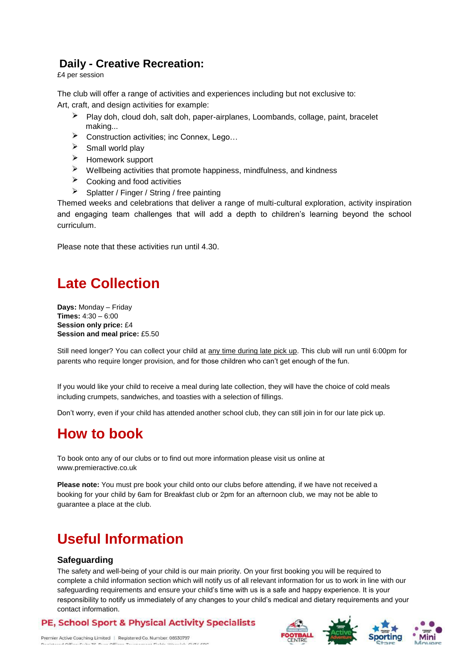### **Daily - Creative Recreation:**

£4 per session

The club will offer a range of activities and experiences including but not exclusive to: Art, craft, and design activities for example:

- Play doh, cloud doh, salt doh, paper-airplanes, Loombands, collage, paint, bracelet making...
- $\blacktriangleright$ Construction activities; inc Connex, Lego…
- $\triangleright$  Small world play
- Homework support
- Wellbeing activities that promote happiness, mindfulness, and kindness
- Cooking and food activities
- $\blacktriangleright$ Splatter / Finger / String / free painting

Themed weeks and celebrations that deliver a range of multi-cultural exploration, activity inspiration and engaging team challenges that will add a depth to children's learning beyond the school curriculum.

Please note that these activities run until 4.30.

## **Late Collection**

**Days:** Monday – Friday **Times:** 4:30 – 6:00 **Session only price:** £4 **Session and meal price:** £5.50

Still need longer? You can collect your child at any time during late pick up. This club will run until 6:00pm for parents who require longer provision, and for those children who can't get enough of the fun.

If you would like your child to receive a meal during late collection, they will have the choice of cold meals including crumpets, sandwiches, and toasties with a selection of fillings.

Don't worry, even if your child has attended another school club, they can still join in for our late pick up.

## **How to book**

To book onto any of our clubs or to find out more information please visit us online at www.premieractive.co.uk

**Please note:** You must pre book your child onto our clubs before attending, if we have not received a booking for your child by 6am for Breakfast club or 2pm for an afternoon club, we may not be able to guarantee a place at the club.

## **Useful Information**

#### **Safeguarding**

The safety and well-being of your child is our main priority. On your first booking you will be required to complete a child information section which will notify us of all relevant information for us to work in line with our safeguarding requirements and ensure your child's time with us is a safe and happy experience. It is your responsibility to notify us immediately of any changes to your child's medical and dietary requirements and your contact information.

#### **PE, School Sport & Physical Activity Specialists**